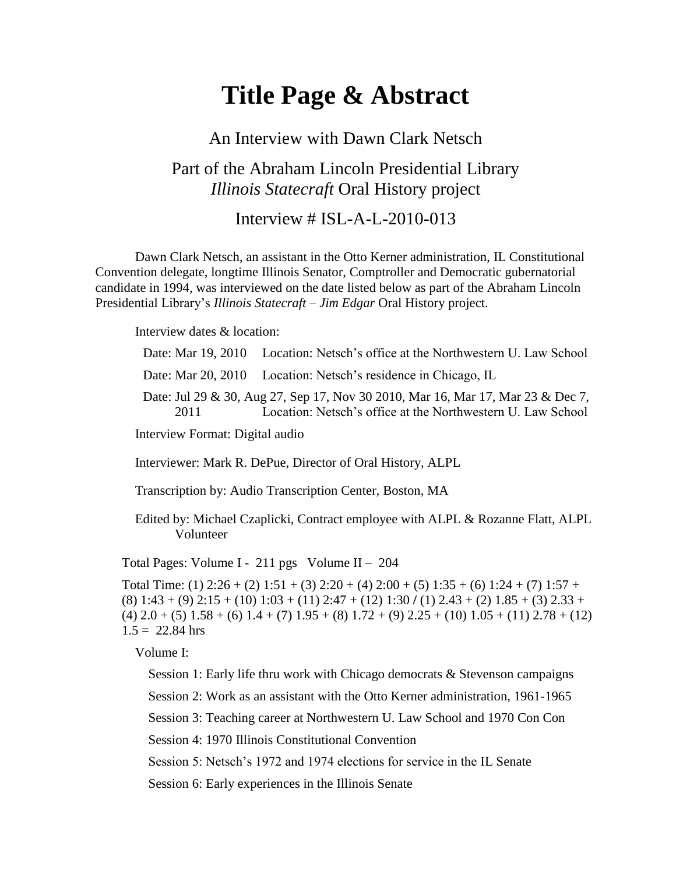# **Title Page & Abstract**

#### An Interview with Dawn Clark Netsch

### Part of the Abraham Lincoln Presidential Library *Illinois Statecraft* Oral History project

#### Interview  $\#$  ISL-A-L-2010-013

Dawn Clark Netsch, an assistant in the Otto Kerner administration, IL Constitutional Convention delegate, longtime Illinois Senator, Comptroller and Democratic gubernatorial candidate in 1994, was interviewed on the date listed below as part of the Abraham Lincoln Presidential Library's *Illinois Statecraft – Jim Edgar* Oral History project.

Interview dates & location:

Date: Mar 19, 2010 Location: Netsch's office at the Northwestern U. Law School

Date: Mar 20, 2010 Location: Netsch's residence in Chicago, IL

Date: Jul 29 & 30, Aug 27, Sep 17, Nov 30 2010, Mar 16, Mar 17, Mar 23 & Dec 7, 2011 Location: Netsch's office at the Northwestern U. Law School

Interview Format: Digital audio

Interviewer: Mark R. DePue, Director of Oral History, ALPL

Transcription by: Audio Transcription Center, Boston, MA

Edited by: Michael Czaplicki, Contract employee with ALPL & Rozanne Flatt, ALPL Volunteer

Total Pages: Volume I - 211 pgs Volume II – 204

Total Time: (1)  $2:26 + (2)$   $1:51 + (3)$   $2:20 + (4)$   $2:00 + (5)$   $1:35 + (6)$   $1:24 + (7)$   $1:57 +$ (8) 1:43 + (9) 2:15 + (10) 1:03 + (11) 2:47 + (12) 1:30 **/** (1) 2.43 + (2) 1.85 + (3) 2.33 +  $(4)$  2.0 + (5) 1.58 + (6) 1.4 + (7) 1.95 + (8) 1.72 + (9) 2.25 + (10) 1.05 + (11) 2.78 + (12)  $1.5 = 22.84$  hrs

Volume I:

Session 1: Early life thru work with Chicago democrats & Stevenson campaigns

Session 2: Work as an assistant with the Otto Kerner administration, 1961-1965

Session 3: Teaching career at Northwestern U. Law School and 1970 Con Con

Session 4: 1970 Illinois Constitutional Convention

Session 5: Netsch's 1972 and 1974 elections for service in the IL Senate

Session 6: Early experiences in the Illinois Senate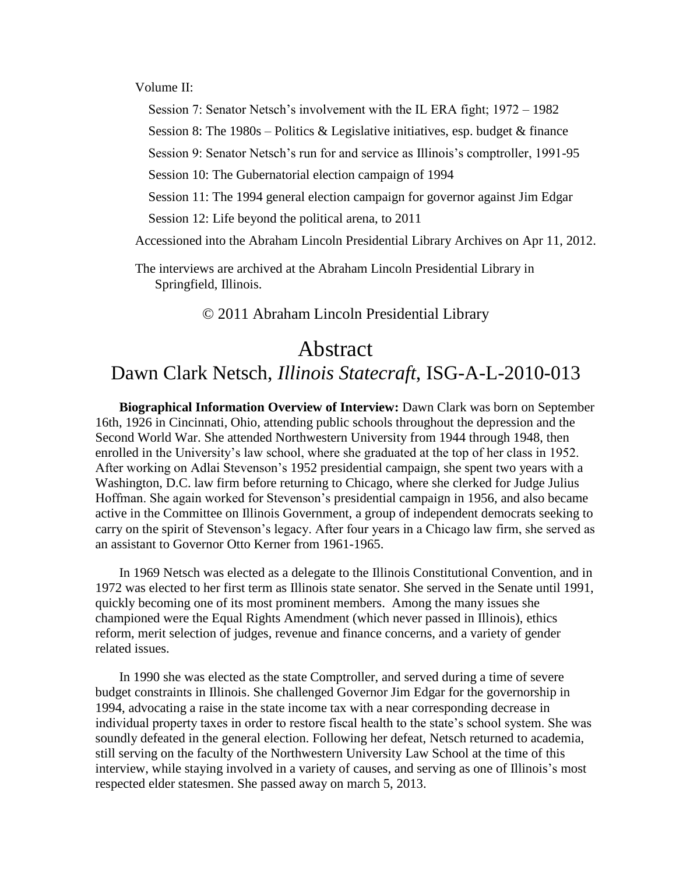Volume II:

Session 7: Senator Netsch's involvement with the IL ERA fight; 1972 – 1982

Session 8: The  $1980s$  – Politics & Legislative initiatives, esp. budget & finance

Session 9: Senator Netsch's run for and service as Illinois's comptroller, 1991-95

Session 10: The Gubernatorial election campaign of 1994

Session 11: The 1994 general election campaign for governor against Jim Edgar

Session 12: Life beyond the political arena, to 2011

Accessioned into the Abraham Lincoln Presidential Library Archives on Apr 11, 2012.

The interviews are archived at the Abraham Lincoln Presidential Library in Springfield, Illinois.

© 2011 Abraham Lincoln Presidential Library

## Abstract

## Dawn Clark Netsch, *Illinois Statecraft*, ISG-A-L-2010-013

**Biographical Information Overview of Interview:** Dawn Clark was born on September 16th, 1926 in Cincinnati, Ohio, attending public schools throughout the depression and the Second World War. She attended Northwestern University from 1944 through 1948, then enrolled in the University's law school, where she graduated at the top of her class in 1952. After working on Adlai Stevenson's 1952 presidential campaign, she spent two years with a Washington, D.C. law firm before returning to Chicago, where she clerked for Judge Julius Hoffman. She again worked for Stevenson's presidential campaign in 1956, and also became active in the Committee on Illinois Government, a group of independent democrats seeking to carry on the spirit of Stevenson's legacy. After four years in a Chicago law firm, she served as an assistant to Governor Otto Kerner from 1961-1965.

In 1969 Netsch was elected as a delegate to the Illinois Constitutional Convention, and in 1972 was elected to her first term as Illinois state senator. She served in the Senate until 1991, quickly becoming one of its most prominent members. Among the many issues she championed were the Equal Rights Amendment (which never passed in Illinois), ethics reform, merit selection of judges, revenue and finance concerns, and a variety of gender related issues.

In 1990 she was elected as the state Comptroller, and served during a time of severe budget constraints in Illinois. She challenged Governor Jim Edgar for the governorship in 1994, advocating a raise in the state income tax with a near corresponding decrease in individual property taxes in order to restore fiscal health to the state's school system. She was soundly defeated in the general election. Following her defeat, Netsch returned to academia, still serving on the faculty of the Northwestern University Law School at the time of this interview, while staying involved in a variety of causes, and serving as one of Illinois's most respected elder statesmen. She passed away on march 5, 2013.